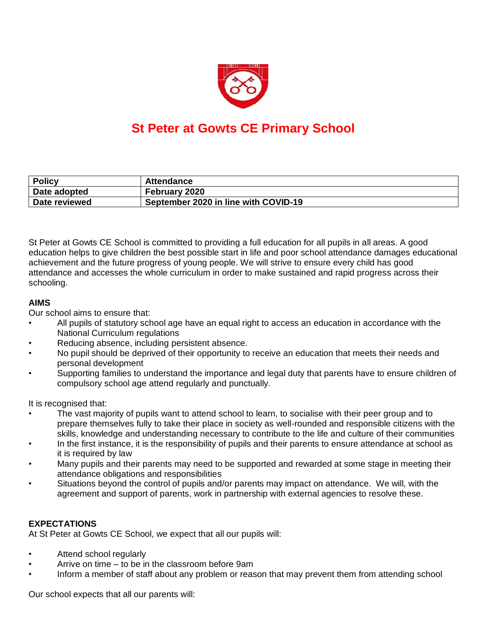

# **St Peter at Gowts CE Primary School**

| <b>Policy</b> | Attendance                           |
|---------------|--------------------------------------|
| Date adopted  | February 2020                        |
| Date reviewed | September 2020 in line with COVID-19 |

St Peter at Gowts CE School is committed to providing a full education for all pupils in all areas. A good education helps to give children the best possible start in life and poor school attendance damages educational achievement and the future progress of young people. We will strive to ensure every child has good attendance and accesses the whole curriculum in order to make sustained and rapid progress across their schooling.

#### **AIMS**

Our school aims to ensure that:

- All pupils of statutory school age have an equal right to access an education in accordance with the National Curriculum regulations
- Reducing absence, including persistent absence.
- No pupil should be deprived of their opportunity to receive an education that meets their needs and personal development
- Supporting families to understand the importance and legal duty that parents have to ensure children of compulsory school age attend regularly and punctually.

It is recognised that:

- The vast majority of pupils want to attend school to learn, to socialise with their peer group and to prepare themselves fully to take their place in society as well-rounded and responsible citizens with the skills, knowledge and understanding necessary to contribute to the life and culture of their communities
- In the first instance, it is the responsibility of pupils and their parents to ensure attendance at school as it is required by law
- Many pupils and their parents may need to be supported and rewarded at some stage in meeting their attendance obligations and responsibilities
- Situations beyond the control of pupils and/or parents may impact on attendance. We will, with the agreement and support of parents, work in partnership with external agencies to resolve these.

## **EXPECTATIONS**

At St Peter at Gowts CE School, we expect that all our pupils will:

- Attend school regularly
- Arrive on time to be in the classroom before 9am
- Inform a member of staff about any problem or reason that may prevent them from attending school

Our school expects that all our parents will: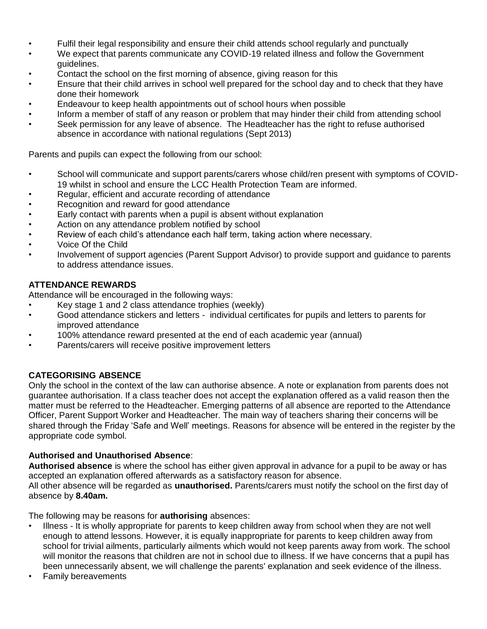- Fulfil their legal responsibility and ensure their child attends school regularly and punctually
- We expect that parents communicate any COVID-19 related illness and follow the Government guidelines.
- Contact the school on the first morning of absence, giving reason for this
- Ensure that their child arrives in school well prepared for the school day and to check that they have done their homework
- Endeavour to keep health appointments out of school hours when possible
- Inform a member of staff of any reason or problem that may hinder their child from attending school
- Seek permission for any leave of absence. The Headteacher has the right to refuse authorised absence in accordance with national regulations (Sept 2013)

Parents and pupils can expect the following from our school:

- School will communicate and support parents/carers whose child/ren present with symptoms of COVID-19 whilst in school and ensure the LCC Health Protection Team are informed.
- Regular, efficient and accurate recording of attendance
- Recognition and reward for good attendance
- Early contact with parents when a pupil is absent without explanation
- Action on any attendance problem notified by school
- Review of each child's attendance each half term, taking action where necessary.
- Voice Of the Child
- Involvement of support agencies (Parent Support Advisor) to provide support and guidance to parents to address attendance issues.

#### **ATTENDANCE REWARDS**

Attendance will be encouraged in the following ways:

- Key stage 1 and 2 class attendance trophies (weekly)
- Good attendance stickers and letters individual certificates for pupils and letters to parents for improved attendance
- 100% attendance reward presented at the end of each academic year (annual)
- Parents/carers will receive positive improvement letters

#### **CATEGORISING ABSENCE**

Only the school in the context of the law can authorise absence. A note or explanation from parents does not guarantee authorisation. If a class teacher does not accept the explanation offered as a valid reason then the matter must be referred to the Headteacher. Emerging patterns of all absence are reported to the Attendance Officer, Parent Support Worker and Headteacher. The main way of teachers sharing their concerns will be shared through the Friday 'Safe and Well' meetings. Reasons for absence will be entered in the register by the appropriate code symbol.

#### **Authorised and Unauthorised Absence**:

**Authorised absence** is where the school has either given approval in advance for a pupil to be away or has accepted an explanation offered afterwards as a satisfactory reason for absence.

All other absence will be regarded as **unauthorised.** Parents/carers must notify the school on the first day of absence by **8.40am.**

The following may be reasons for **authorising** absences:

- Illness It is wholly appropriate for parents to keep children away from school when they are not well enough to attend lessons. However, it is equally inappropriate for parents to keep children away from school for trivial ailments, particularly ailments which would not keep parents away from work. The school will monitor the reasons that children are not in school due to illness. If we have concerns that a pupil has been unnecessarily absent, we will challenge the parents' explanation and seek evidence of the illness.
- Family bereavements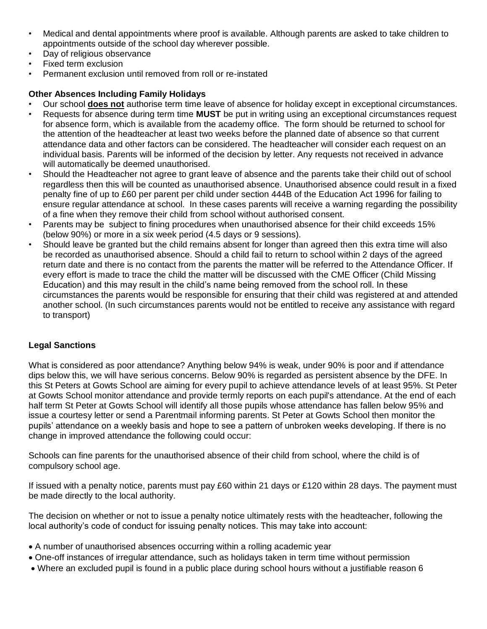- Medical and dental appointments where proof is available. Although parents are asked to take children to appointments outside of the school day wherever possible.
- Day of religious observance
- Fixed term exclusion
- Permanent exclusion until removed from roll or re-instated

## **Other Absences Including Family Holidays**

- Our school **does not** authorise term time leave of absence for holiday except in exceptional circumstances.
- Requests for absence during term time **MUST** be put in writing using an exceptional circumstances request for absence form, which is available from the academy office. The form should be returned to school for the attention of the headteacher at least two weeks before the planned date of absence so that current attendance data and other factors can be considered. The headteacher will consider each request on an individual basis. Parents will be informed of the decision by letter. Any requests not received in advance will automatically be deemed unauthorised.
- Should the Headteacher not agree to grant leave of absence and the parents take their child out of school regardless then this will be counted as unauthorised absence. Unauthorised absence could result in a fixed penalty fine of up to £60 per parent per child under section 444B of the Education Act 1996 for failing to ensure regular attendance at school. In these cases parents will receive a warning regarding the possibility of a fine when they remove their child from school without authorised consent.
- Parents may be subject to fining procedures when unauthorised absence for their child exceeds 15% (below 90%) or more in a six week period (4.5 days or 9 sessions).
- Should leave be granted but the child remains absent for longer than agreed then this extra time will also be recorded as unauthorised absence. Should a child fail to return to school within 2 days of the agreed return date and there is no contact from the parents the matter will be referred to the Attendance Officer. If every effort is made to trace the child the matter will be discussed with the CME Officer (Child Missing Education) and this may result in the child's name being removed from the school roll. In these circumstances the parents would be responsible for ensuring that their child was registered at and attended another school. (In such circumstances parents would not be entitled to receive any assistance with regard to transport)

## **Legal Sanctions**

What is considered as poor attendance? Anything below 94% is weak, under 90% is poor and if attendance dips below this, we will have serious concerns. Below 90% is regarded as persistent absence by the DFE. In this St Peters at Gowts School are aiming for every pupil to achieve attendance levels of at least 95%. St Peter at Gowts School monitor attendance and provide termly reports on each pupil's attendance. At the end of each half term St Peter at Gowts School will identify all those pupils whose attendance has fallen below 95% and issue a courtesy letter or send a Parentmail informing parents. St Peter at Gowts School then monitor the pupils' attendance on a weekly basis and hope to see a pattern of unbroken weeks developing. If there is no change in improved attendance the following could occur:

Schools can fine parents for the unauthorised absence of their child from school, where the child is of compulsory school age.

If issued with a penalty notice, parents must pay £60 within 21 days or £120 within 28 days. The payment must be made directly to the local authority.

The decision on whether or not to issue a penalty notice ultimately rests with the headteacher, following the local authority's code of conduct for issuing penalty notices. This may take into account:

- A number of unauthorised absences occurring within a rolling academic year
- One-off instances of irregular attendance, such as holidays taken in term time without permission
- Where an excluded pupil is found in a public place during school hours without a justifiable reason 6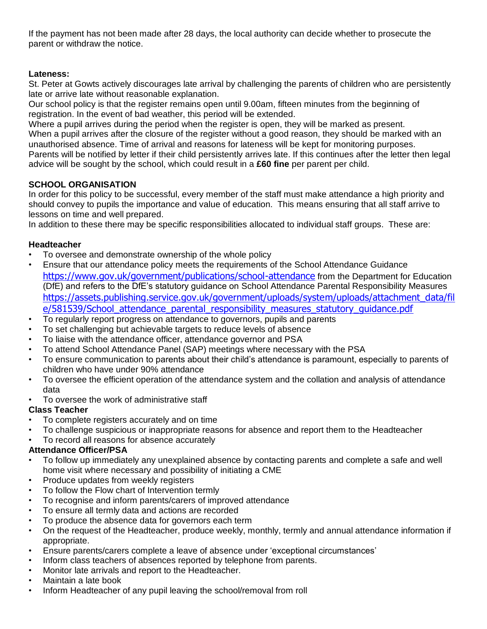If the payment has not been made after 28 days, the local authority can decide whether to prosecute the parent or withdraw the notice.

## **Lateness:**

St. Peter at Gowts actively discourages late arrival by challenging the parents of children who are persistently late or arrive late without reasonable explanation.

Our school policy is that the register remains open until 9.00am, fifteen minutes from the beginning of registration. In the event of bad weather, this period will be extended.

Where a pupil arrives during the period when the register is open, they will be marked as present. When a pupil arrives after the closure of the register without a good reason, they should be marked with an unauthorised absence. Time of arrival and reasons for lateness will be kept for monitoring purposes. Parents will be notified by letter if their child persistently arrives late. If this continues after the letter then legal advice will be sought by the school, which could result in a **£60 fine** per parent per child.

## **SCHOOL ORGANISATION**

In order for this policy to be successful, every member of the staff must make attendance a high priority and should convey to pupils the importance and value of education. This means ensuring that all staff arrive to lessons on time and well prepared.

In addition to these there may be specific responsibilities allocated to individual staff groups. These are:

#### **Headteacher**

- To oversee and demonstrate ownership of the whole policy
- Ensure that our attendance policy meets the requirements of the School Attendance Guidance <https://www.gov.uk/government/publications/school-attendance> from the Department for Education (DfE) and refers to the DfE's statutory guidance on School Attendance Parental Responsibility Measures [https://assets.publishing.service.gov.uk/government/uploads/system/uploads/attachment\\_data/fil](https://assets.publishing.service.gov.uk/government/uploads/system/uploads/attachment_data/file/581539/School_attendance_parental_responsibility_measures_statutory_guidance.pdf) e/581539/School attendance parental responsibility measures statutory quidance.pdf
- To regularly report progress on attendance to governors, pupils and parents
- To set challenging but achievable targets to reduce levels of absence
- To liaise with the attendance officer, attendance governor and PSA
- To attend School Attendance Panel (SAP) meetings where necessary with the PSA
- To ensure communication to parents about their child's attendance is paramount, especially to parents of children who have under 90% attendance
- To oversee the efficient operation of the attendance system and the collation and analysis of attendance data
- To oversee the work of administrative staff

#### **Class Teacher**

- To complete registers accurately and on time
- To challenge suspicious or inappropriate reasons for absence and report them to the Headteacher
- To record all reasons for absence accurately

#### **Attendance Officer/PSA**

- To follow up immediately any unexplained absence by contacting parents and complete a safe and well home visit where necessary and possibility of initiating a CME
- Produce updates from weekly registers
- To follow the Flow chart of Intervention termly
- To recognise and inform parents/carers of improved attendance
- To ensure all termly data and actions are recorded
- To produce the absence data for governors each term
- On the request of the Headteacher, produce weekly, monthly, termly and annual attendance information if appropriate.
- Ensure parents/carers complete a leave of absence under 'exceptional circumstances'
- Inform class teachers of absences reported by telephone from parents.
- Monitor late arrivals and report to the Headteacher.
- Maintain a late book
- Inform Headteacher of any pupil leaving the school/removal from roll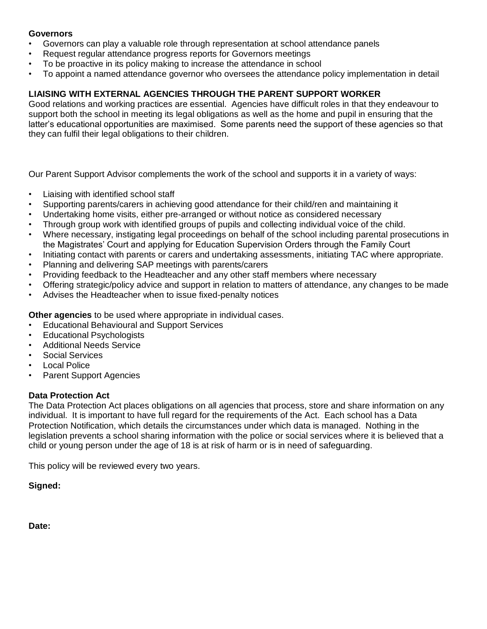#### **Governors**

- Governors can play a valuable role through representation at school attendance panels
- Request regular attendance progress reports for Governors meetings
- To be proactive in its policy making to increase the attendance in school
- To appoint a named attendance governor who oversees the attendance policy implementation in detail

## **LIAISING WITH EXTERNAL AGENCIES THROUGH THE PARENT SUPPORT WORKER**

Good relations and working practices are essential. Agencies have difficult roles in that they endeavour to support both the school in meeting its legal obligations as well as the home and pupil in ensuring that the latter's educational opportunities are maximised. Some parents need the support of these agencies so that they can fulfil their legal obligations to their children.

Our Parent Support Advisor complements the work of the school and supports it in a variety of ways:

- Liaising with identified school staff
- Supporting parents/carers in achieving good attendance for their child/ren and maintaining it
- Undertaking home visits, either pre-arranged or without notice as considered necessary
- Through group work with identified groups of pupils and collecting individual voice of the child.
- Where necessary, instigating legal proceedings on behalf of the school including parental prosecutions in the Magistrates' Court and applying for Education Supervision Orders through the Family Court
- Initiating contact with parents or carers and undertaking assessments, initiating TAC where appropriate.
- Planning and delivering SAP meetings with parents/carers
- Providing feedback to the Headteacher and any other staff members where necessary
- Offering strategic/policy advice and support in relation to matters of attendance, any changes to be made
- Advises the Headteacher when to issue fixed-penalty notices

**Other agencies** to be used where appropriate in individual cases.

- Educational Behavioural and Support Services
- Educational Psychologists
- Additional Needs Service
- Social Services
- **Local Police**
- Parent Support Agencies

#### **Data Protection Act**

The Data Protection Act places obligations on all agencies that process, store and share information on any individual. It is important to have full regard for the requirements of the Act. Each school has a Data Protection Notification, which details the circumstances under which data is managed. Nothing in the legislation prevents a school sharing information with the police or social services where it is believed that a child or young person under the age of 18 is at risk of harm or is in need of safeguarding.

This policy will be reviewed every two years.

**Signed:**

**Date:**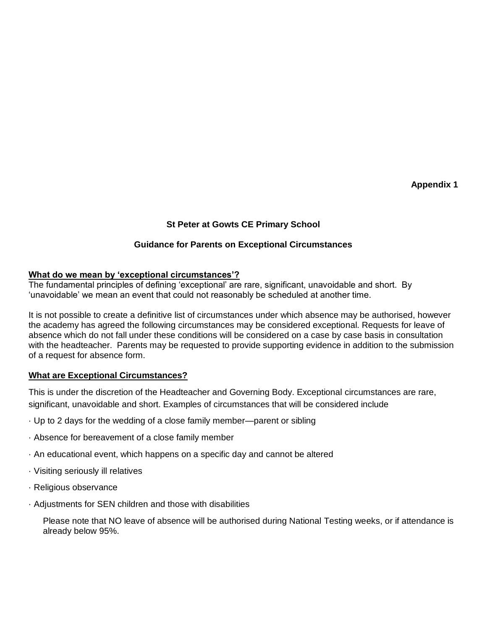**Appendix 1**

## **St Peter at Gowts CE Primary School**

## **Guidance for Parents on Exceptional Circumstances**

#### **What do we mean by 'exceptional circumstances'?**

The fundamental principles of defining 'exceptional' are rare, significant, unavoidable and short. By 'unavoidable' we mean an event that could not reasonably be scheduled at another time.

It is not possible to create a definitive list of circumstances under which absence may be authorised, however the academy has agreed the following circumstances may be considered exceptional. Requests for leave of absence which do not fall under these conditions will be considered on a case by case basis in consultation with the headteacher. Parents may be requested to provide supporting evidence in addition to the submission of a request for absence form.

#### **What are Exceptional Circumstances?**

This is under the discretion of the Headteacher and Governing Body. Exceptional circumstances are rare, significant, unavoidable and short. Examples of circumstances that will be considered include

- · Up to 2 days for the wedding of a close family member—parent or sibling
- · Absence for bereavement of a close family member
- · An educational event, which happens on a specific day and cannot be altered
- · Visiting seriously ill relatives
- · Religious observance
- · Adjustments for SEN children and those with disabilities

Please note that NO leave of absence will be authorised during National Testing weeks, or if attendance is already below 95%.